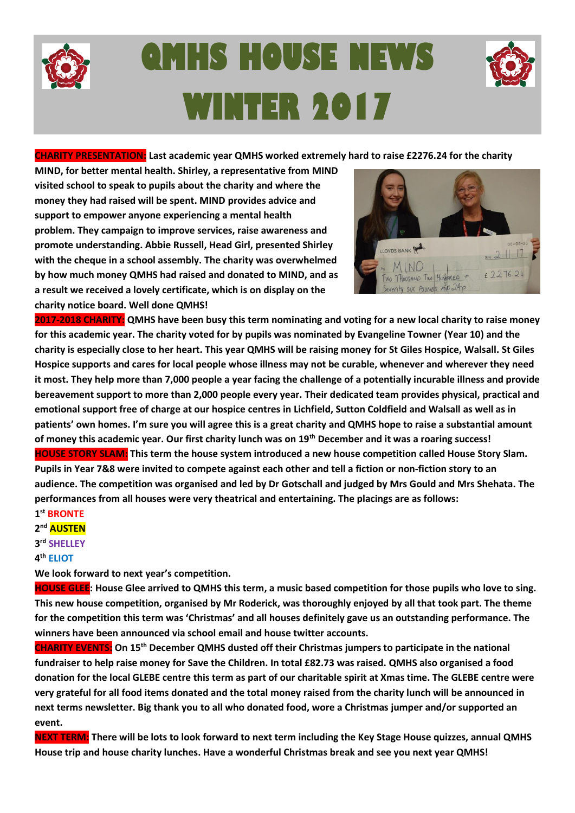

# **QMHS HOUSE NEWS WINTER 2017**



#### **CHARITY PRESENTATION: Last academic year QMHS worked extremely hard to raise £2276.24 for the charity**

**MIND, for better mental health. Shirley, a representative from MIND visited school to speak to pupils about the charity and where the money they had raised will be spent. MIND provides [advice and](https://www.mind.org.uk/information-support/)  [support](https://www.mind.org.uk/information-support/) to empower anyone experiencing a mental health problem. They [campaign](https://www.mind.org.uk/news-campaigns/campaigns/) to improve services, raise awareness and promote understanding. Abbie Russell, Head Girl, presented Shirley with the cheque in a school assembly. The charity was overwhelmed by how much money QMHS had raised and donated to MIND, and as a result we received a lovely certificate, which is on display on the charity notice board. Well done QMHS!**



**2017-2018 CHARITY: QMHS have been busy this term nominating and voting for a new local charity to raise money for this academic year. The charity voted for by pupils was nominated by Evangeline Towner (Year 10) and the charity is especially close to her heart. This year QMHS will be raising money for St Giles Hospice, Walsall. St Giles Hospice supports and cares for local people whose illness may not be curable, whenever and wherever they need it most. They help more than 7,000 people a year facing the challenge of a potentially incurable illness and provide bereavement support to more than 2,000 people every year. Their dedicated team provides physical, practical and emotional support free of charge at our hospice centres in Lichfield, Sutton Coldfield and Walsall as well as in patients' own homes. I'm sure you will agree this is a great charity and QMHS hope to raise a substantial amount of money this academic year. Our first charity lunch was on 19th December and it was a roaring success! HOUSE STORY SLAM: This term the house system introduced a new house competition called House Story Slam. Pupils in Year 7&8 were invited to compete against each other and tell a fiction or non-fiction story to an audience. The competition was organised and led by Dr Gotschall and judged by Mrs Gould and Mrs Shehata. The performances from all houses were very theatrical and entertaining. The placings are as follows: 1 st BRONTE**

**2 nd AUSTEN**

#### **3 rd SHELLEY**

**4 th ELIOT**

**We look forward to next year's competition.**

**HOUSE GLEE: House Glee arrived to QMHS this term, a music based competition for those pupils who love to sing. This new house competition, organised by Mr Roderick, was thoroughly enjoyed by all that took part. The theme for the competition this term was 'Christmas' and all houses definitely gave us an outstanding performance. The winners have been announced via school email and house twitter accounts.** 

**CHARITY EVENTS: On 15th December QMHS dusted off their Christmas jumpers to participate in the national fundraiser to help raise money for Save the Children. In total £82.73 was raised. QMHS also organised a food donation for the local GLEBE centre this term as part of our charitable spirit at Xmas time. The GLEBE centre were very grateful for all food items donated and the total money raised from the charity lunch will be announced in next terms newsletter. Big thank you to all who donated food, wore a Christmas jumper and/or supported an event.**

**NEXT TERM: There will be lots to look forward to next term including the Key Stage House quizzes, annual QMHS House trip and house charity lunches. Have a wonderful Christmas break and see you next year QMHS!**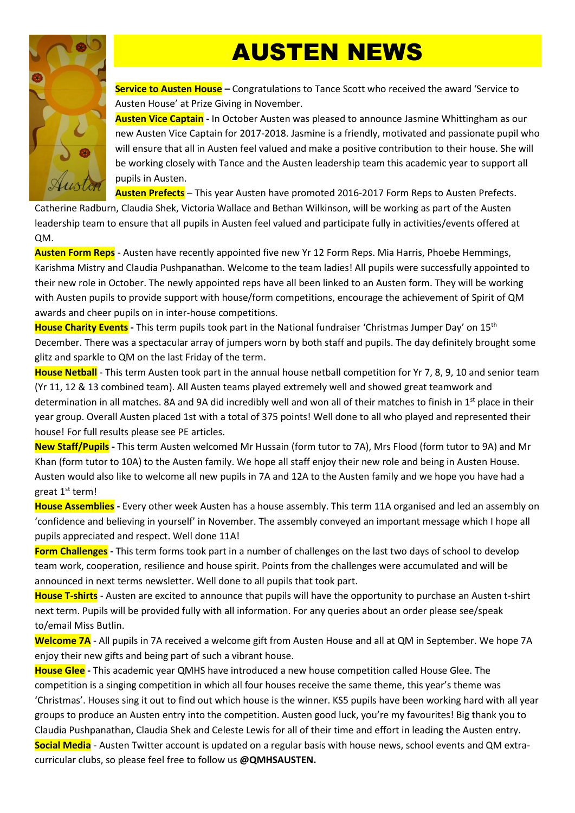## AUSTEN NEWS



**Service to Austen House –** Congratulations to Tance Scott who received the award 'Service to Austen House' at Prize Giving in November.

**Austen Vice Captain -** In October Austen was pleased to announce Jasmine Whittingham as our new Austen Vice Captain for 2017-2018. Jasmine is a friendly, motivated and passionate pupil who will ensure that all in Austen feel valued and make a positive contribution to their house. She will be working closely with Tance and the Austen leadership team this academic year to support all pupils in Austen.

**Austen Prefects** – This year Austen have promoted 2016-2017 Form Reps to Austen Prefects.

Catherine Radburn, Claudia Shek, Victoria Wallace and Bethan Wilkinson, will be working as part of the Austen leadership team to ensure that all pupils in Austen feel valued and participate fully in activities/events offered at QM.

**Austen Form Reps** - Austen have recently appointed five new Yr 12 Form Reps. Mia Harris, Phoebe Hemmings, Karishma Mistry and Claudia Pushpanathan. Welcome to the team ladies! All pupils were successfully appointed to their new role in October. The newly appointed reps have all been linked to an Austen form. They will be working with Austen pupils to provide support with house/form competitions, encourage the achievement of Spirit of QM awards and cheer pupils on in inter-house competitions.

**House Charity Events -** This term pupils took part in the National fundraiser 'Christmas Jumper Day' on 15th December. There was a spectacular array of jumpers worn by both staff and pupils. The day definitely brought some glitz and sparkle to QM on the last Friday of the term.

**House Netball** - This term Austen took part in the annual house netball competition for Yr 7, 8, 9, 10 and senior team (Yr 11, 12 & 13 combined team). All Austen teams played extremely well and showed great teamwork and determination in all matches. 8A and 9A did incredibly well and won all of their matches to finish in  $1<sup>st</sup>$  place in their year group. Overall Austen placed 1st with a total of 375 points! Well done to all who played and represented their house! For full results please see PE articles.

**New Staff/Pupils -** This term Austen welcomed Mr Hussain (form tutor to 7A), Mrs Flood (form tutor to 9A) and Mr Khan (form tutor to 10A) to the Austen family. We hope all staff enjoy their new role and being in Austen House. Austen would also like to welcome all new pupils in 7A and 12A to the Austen family and we hope you have had a great 1<sup>st</sup> term!

**House Assemblies -** Every other week Austen has a house assembly. This term 11A organised and led an assembly on 'confidence and believing in yourself' in November. The assembly conveyed an important message which I hope all pupils appreciated and respect. Well done 11A!

**Form Challenges -** This term forms took part in a number of challenges on the last two days of school to develop team work, cooperation, resilience and house spirit. Points from the challenges were accumulated and will be announced in next terms newsletter. Well done to all pupils that took part.

**House T-shirts** - Austen are excited to announce that pupils will have the opportunity to purchase an Austen t-shirt next term. Pupils will be provided fully with all information. For any queries about an order please see/speak to/email Miss Butlin.

**Welcome 7A** - All pupils in 7A received a welcome gift from Austen House and all at QM in September. We hope 7A enjoy their new gifts and being part of such a vibrant house.

**House Glee -** This academic year QMHS have introduced a new house competition called House Glee. The competition is a singing competition in which all four houses receive the same theme, this year's theme was 'Christmas'. Houses sing it out to find out which house is the winner. KS5 pupils have been working hard with all year groups to produce an Austen entry into the competition. Austen good luck, you're my favourites! Big thank you to Claudia Pushpanathan, Claudia Shek and Celeste Lewis for all of their time and effort in leading the Austen entry. **Social Media** - Austen Twitter account is updated on a regular basis with house news, school events and QM extracurricular clubs, so please feel free to follow us **@QMHSAUSTEN.**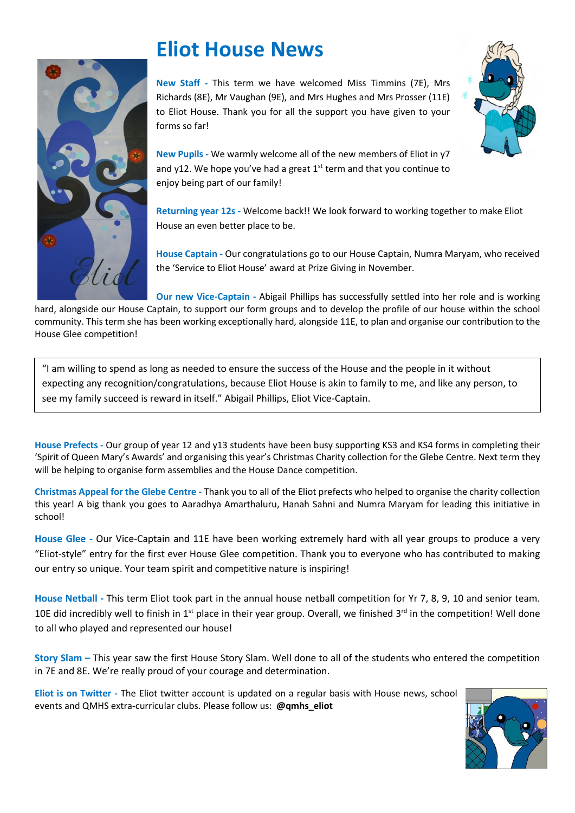

### **Eliot House News**

**New Staff -** This term we have welcomed Miss Timmins (7E), Mrs Richards (8E), Mr Vaughan (9E), and Mrs Hughes and Mrs Prosser (11E) to Eliot House. Thank you for all the support you have given to your forms so far!



**New Pupils -** We warmly welcome all of the new members of Eliot in y7 and y12. We hope you've had a great  $1<sup>st</sup>$  term and that you continue to enjoy being part of our family!

**Returning year 12s -** Welcome back!! We look forward to working together to make Eliot House an even better place to be.

**House Captain -** Our congratulations go to our House Captain, Numra Maryam, who received the 'Service to Eliot House' award at Prize Giving in November.

**Our new Vice-Captain -** Abigail Phillips has successfully settled into her role and is working hard, alongside our House Captain, to support our form groups and to develop the profile of our house within the school community. This term she has been working exceptionally hard, alongside 11E, to plan and organise our contribution to the House Glee competition!

"I am willing to spend as long as needed to ensure the success of the House and the people in it without expecting any recognition/congratulations, because Eliot House is akin to family to me, and like any person, to see my family succeed is reward in itself." Abigail Phillips, Eliot Vice-Captain.

**House Prefects -** Our group of year 12 and y13 students have been busy supporting KS3 and KS4 forms in completing their 'Spirit of Queen Mary's Awards' and organising this year's Christmas Charity collection for the Glebe Centre. Next term they will be helping to organise form assemblies and the House Dance competition.

**Christmas Appeal for the Glebe Centre -** Thank you to all of the Eliot prefects who helped to organise the charity collection this year! A big thank you goes to Aaradhya Amarthaluru, Hanah Sahni and Numra Maryam for leading this initiative in school!

**House Glee -** Our Vice-Captain and 11E have been working extremely hard with all year groups to produce a very "Eliot-style" entry for the first ever House Glee competition. Thank you to everyone who has contributed to making our entry so unique. Your team spirit and competitive nature is inspiring!

**House Netball -** This term Eliot took part in the annual house netball competition for Yr 7, 8, 9, 10 and senior team. 10E did incredibly well to finish in 1<sup>st</sup> place in their year group. Overall, we finished  $3<sup>rd</sup>$  in the competition! Well done to all who played and represented our house!

**Story Slam –** This year saw the first House Story Slam. Well done to all of the students who entered the competition in 7E and 8E. We're really proud of your courage and determination.

**Eliot is on Twitter -** The Eliot twitter account is updated on a regular basis with House news, school events and QMHS extra-curricular clubs. Please follow us: **@qmhs\_eliot**

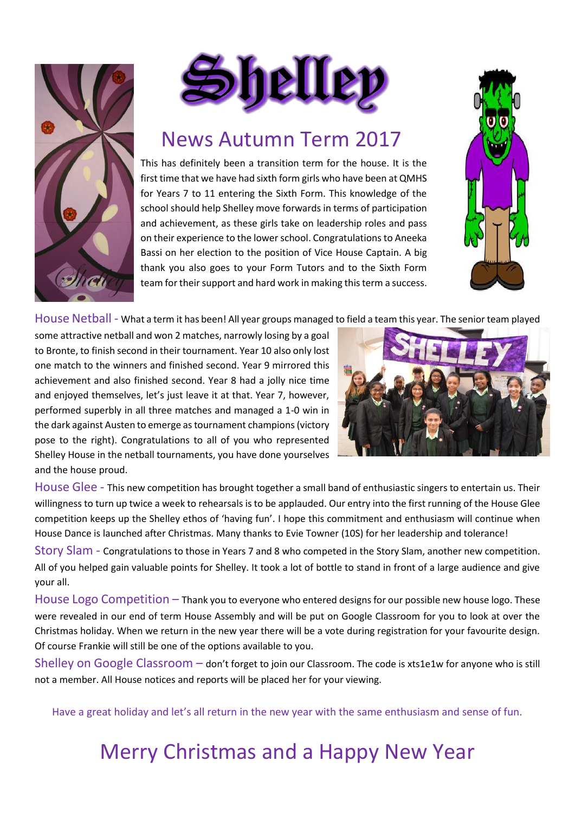



#### News Autumn Term 2017

This has definitely been a transition term for the house. It is the first time that we have had sixth form girls who have been at QMHS for Years 7 to 11 entering the Sixth Form. This knowledge of the school should help Shelley move forwards in terms of participation and achievement, as these girls take on leadership roles and pass on their experience to the lower school. Congratulations to Aneeka Bassi on her election to the position of Vice House Captain. A big thank you also goes to your Form Tutors and to the Sixth Form team for their support and hard work in making this term a success.



House Netball - What a term it has been! All year groups managed to field a team this year. The senior team played

some attractive netball and won 2 matches, narrowly losing by a goal to Bronte, to finish second in their tournament. Year 10 also only lost one match to the winners and finished second. Year 9 mirrored this achievement and also finished second. Year 8 had a jolly nice time and enjoyed themselves, let's just leave it at that. Year 7, however, performed superbly in all three matches and managed a 1-0 win in the dark against Austen to emerge as tournament champions(victory pose to the right). Congratulations to all of you who represented Shelley House in the netball tournaments, you have done yourselves and the house proud.



House Glee - This new competition has brought together a small band of enthusiastic singers to entertain us. Their willingness to turn up twice a week to rehearsals is to be applauded. Our entry into the first running of the House Glee competition keeps up the Shelley ethos of 'having fun'. I hope this commitment and enthusiasm will continue when House Dance is launched after Christmas. Many thanks to Evie Towner (10S) for her leadership and tolerance!

Story Slam - Congratulations to those in Years 7 and 8 who competed in the Story Slam, another new competition. All of you helped gain valuable points for Shelley. It took a lot of bottle to stand in front of a large audience and give your all.

House Logo Competition – Thank you to everyone who entered designs for our possible new house logo. These were revealed in our end of term House Assembly and will be put on Google Classroom for you to look at over the Christmas holiday. When we return in the new year there will be a vote during registration for your favourite design. Of course Frankie will still be one of the options available to you.

Shelley on Google Classroom – don't forget to join our Classroom. The code is xts1e1w for anyone who is still not a member. All House notices and reports will be placed her for your viewing.

Have a great holiday and let's all return in the new year with the same enthusiasm and sense of fun.

### Merry Christmas and a Happy New Year